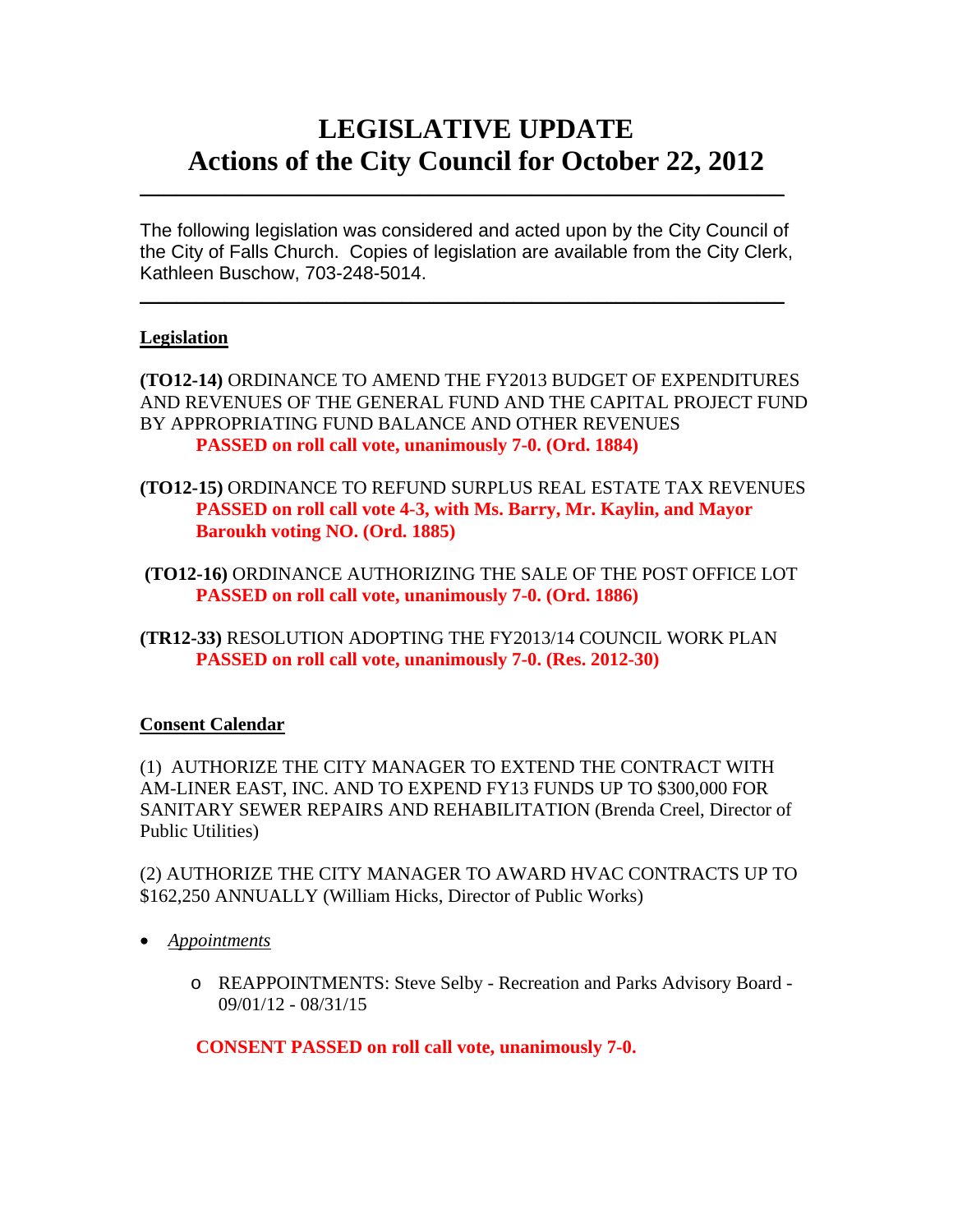# **LEGISLATIVE UPDATE Actions of the City Council for October 22, 2012**

The following legislation was considered and acted upon by the City Council of the City of Falls Church. Copies of legislation are available from the City Clerk, Kathleen Buschow, 703-248-5014.

 $\blacksquare$ 

 $\mathcal{L}_\text{max}$  and  $\mathcal{L}_\text{max}$  and  $\mathcal{L}_\text{max}$  and  $\mathcal{L}_\text{max}$  and  $\mathcal{L}_\text{max}$  and  $\mathcal{L}_\text{max}$ 

## **Legislation**

**(TO12-14)** ORDINANCE TO AMEND THE FY2013 BUDGET OF EXPENDITURES AND REVENUES OF THE GENERAL FUND AND THE CAPITAL PROJECT FUND BY APPROPRIATING FUND BALANCE AND OTHER REVENUES  **PASSED on roll call vote, unanimously 7-0. (Ord. 1884)** 

- **(TO12-15)** ORDINANCE TO REFUND SURPLUS REAL ESTATE TAX REVENUES  **PASSED on roll call vote 4-3, with Ms. Barry, Mr. Kaylin, and Mayor Baroukh voting NO. (Ord. 1885)**
- **(TO12-16)** ORDINANCE AUTHORIZING THE SALE OF THE POST OFFICE LOT  **PASSED on roll call vote, unanimously 7-0. (Ord. 1886)**
- **(TR12-33)** RESOLUTION ADOPTING THE FY2013/14 COUNCIL WORK PLAN **PASSED on roll call vote, unanimously 7-0. (Res. 2012-30)**

## **Consent Calendar**

(1) AUTHORIZE THE CITY MANAGER TO EXTEND THE CONTRACT WITH AM-LINER EAST, INC. AND TO EXPEND FY13 FUNDS UP TO \$300,000 FOR SANITARY SEWER REPAIRS AND REHABILITATION (Brenda Creel, Director of Public Utilities)

(2) AUTHORIZE THE CITY MANAGER TO AWARD HVAC CONTRACTS UP TO \$162,250 ANNUALLY (William Hicks, Director of Public Works)

- *Appointments*
	- o REAPPOINTMENTS: Steve Selby Recreation and Parks Advisory Board 09/01/12 - 08/31/15

 **CONSENT PASSED on roll call vote, unanimously 7-0.**